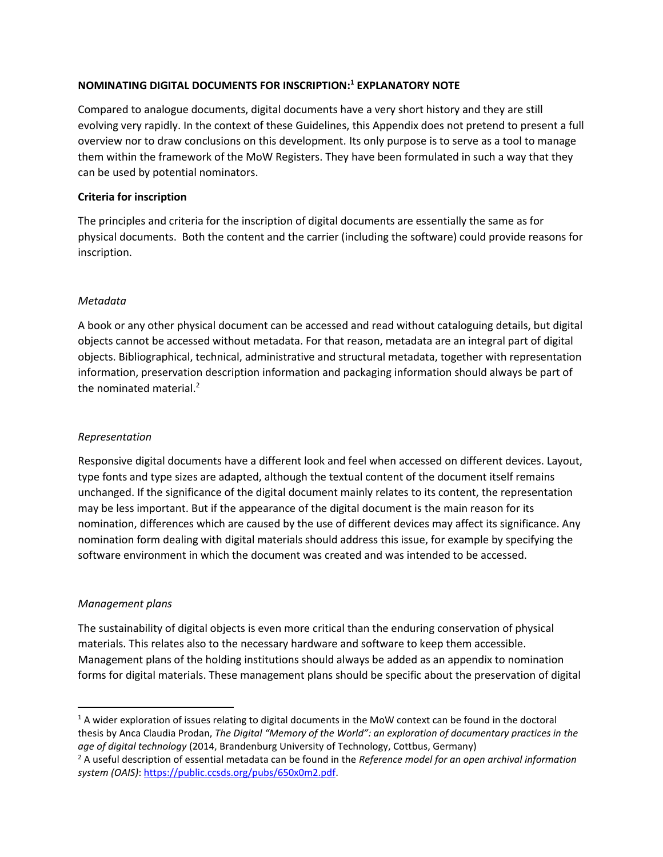# **NOMINATING DIGITAL DOCUMENTS FOR INSCRIPTION: <sup>1</sup> EXPLANATORY NOTE**

Compared to analogue documents, digital documents have a very short history and they are still evolving very rapidly. In the context of these Guidelines, this Appendix does not pretend to present a full overview nor to draw conclusions on this development. Its only purpose is to serve as a tool to manage them within the framework of the MoW Registers. They have been formulated in such a way that they can be used by potential nominators.

## **Criteria for inscription**

The principles and criteria for the inscription of digital documents are essentially the same as for physical documents. Both the content and the carrier (including the software) could provide reasons for inscription.

## *Metadata*

A book or any other physical document can be accessed and read without cataloguing details, but digital objects cannot be accessed without metadata. For that reason, metadata are an integral part of digital objects. Bibliographical, technical, administrative and structural metadata, together with representation information, preservation description information and packaging information should always be part of the nominated material.<sup>2</sup>

# *Representation*

Responsive digital documents have a different look and feel when accessed on different devices. Layout, type fonts and type sizes are adapted, although the textual content of the document itself remains unchanged. If the significance of the digital document mainly relates to its content, the representation may be less important. But if the appearance of the digital document is the main reason for its nomination, differences which are caused by the use of different devices may affect its significance. Any nomination form dealing with digital materials should address this issue, for example by specifying the software environment in which the document was created and was intended to be accessed.

#### *Management plans*

The sustainability of digital objects is even more critical than the enduring conservation of physical materials. This relates also to the necessary hardware and software to keep them accessible. Management plans of the holding institutions should always be added as an appendix to nomination forms for digital materials. These management plans should be specific about the preservation of digital

 $1A$  wider exploration of issues relating to digital documents in the MoW context can be found in the doctoral thesis by Anca Claudia Prodan, *The Digital "Memory of the World": an exploration of documentary practices in the age of digital technology* (2014, Brandenburg University of Technology, Cottbus, Germany)

<sup>2</sup> A useful description of essential metadata can be found in the *Reference model for an open archival information system (OAIS)*: [https://public.ccsds.org/pubs/650x0m2.pdf.](https://public.ccsds.org/pubs/650x0m2.pdf)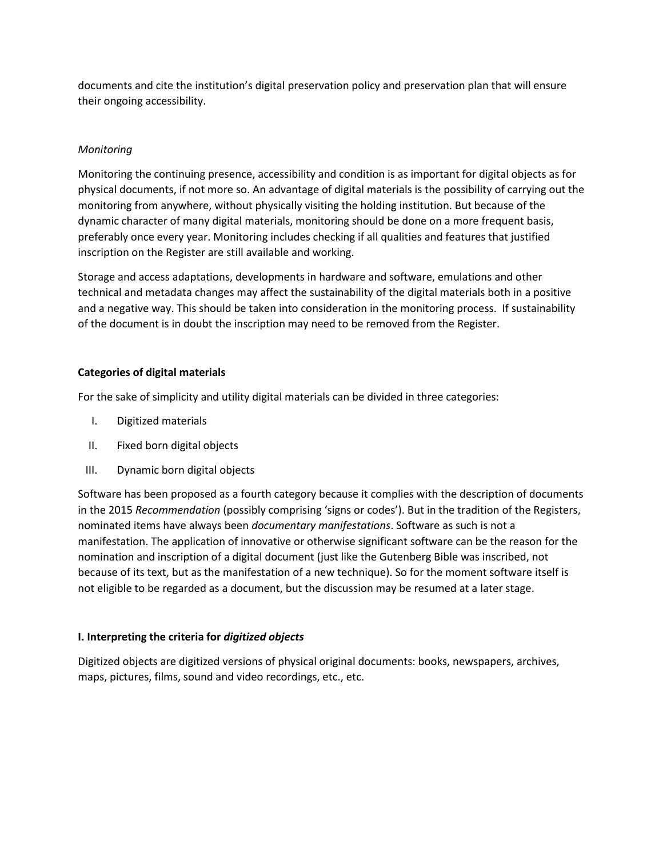documents and cite the institution's digital preservation policy and preservation plan that will ensure their ongoing accessibility.

## *Monitoring*

Monitoring the continuing presence, accessibility and condition is as important for digital objects as for physical documents, if not more so. An advantage of digital materials is the possibility of carrying out the monitoring from anywhere, without physically visiting the holding institution. But because of the dynamic character of many digital materials, monitoring should be done on a more frequent basis, preferably once every year. Monitoring includes checking if all qualities and features that justified inscription on the Register are still available and working.

Storage and access adaptations, developments in hardware and software, emulations and other technical and metadata changes may affect the sustainability of the digital materials both in a positive and a negative way. This should be taken into consideration in the monitoring process. If sustainability of the document is in doubt the inscription may need to be removed from the Register.

#### **Categories of digital materials**

For the sake of simplicity and utility digital materials can be divided in three categories:

- I. Digitized materials
- II. Fixed born digital objects
- III. Dynamic born digital objects

Software has been proposed as a fourth category because it complies with the description of documents in the 2015 *Recommendation* (possibly comprising 'signs or codes'). But in the tradition of the Registers, nominated items have always been *documentary manifestations*. Software as such is not a manifestation. The application of innovative or otherwise significant software can be the reason for the nomination and inscription of a digital document (just like the Gutenberg Bible was inscribed, not because of its text, but as the manifestation of a new technique). So for the moment software itself is not eligible to be regarded as a document, but the discussion may be resumed at a later stage.

#### **I. Interpreting the criteria for** *digitized objects*

Digitized objects are digitized versions of physical original documents: books, newspapers, archives, maps, pictures, films, sound and video recordings, etc., etc.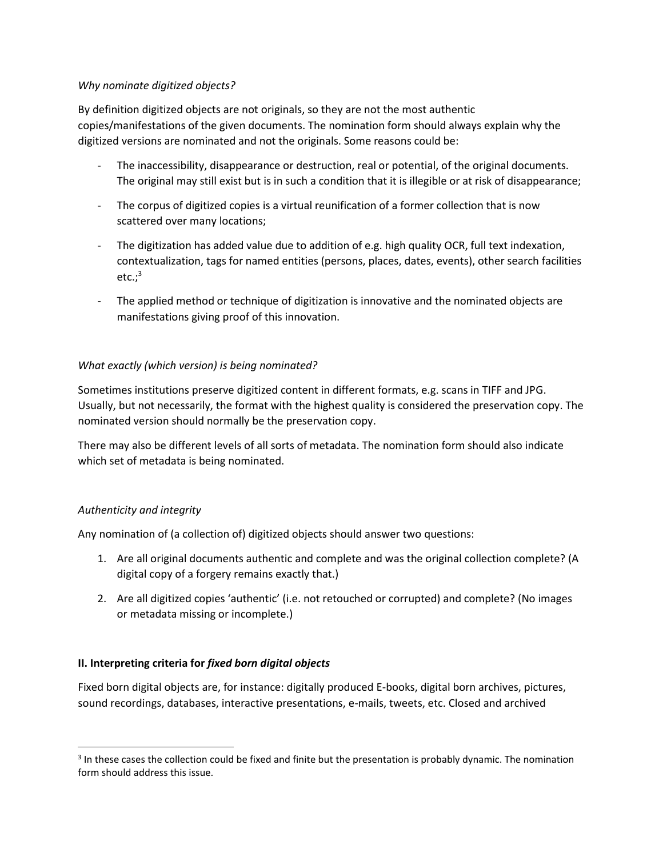#### *Why nominate digitized objects?*

By definition digitized objects are not originals, so they are not the most authentic copies/manifestations of the given documents. The nomination form should always explain why the digitized versions are nominated and not the originals. Some reasons could be:

- The inaccessibility, disappearance or destruction, real or potential, of the original documents. The original may still exist but is in such a condition that it is illegible or at risk of disappearance;
- The corpus of digitized copies is a virtual reunification of a former collection that is now scattered over many locations;
- The digitization has added value due to addition of e.g. high quality OCR, full text indexation, contextualization, tags for named entities (persons, places, dates, events), other search facilities  $etc.:^3$
- The applied method or technique of digitization is innovative and the nominated objects are manifestations giving proof of this innovation.

# *What exactly (which version) is being nominated?*

Sometimes institutions preserve digitized content in different formats, e.g. scans in TIFF and JPG. Usually, but not necessarily, the format with the highest quality is considered the preservation copy. The nominated version should normally be the preservation copy.

There may also be different levels of all sorts of metadata. The nomination form should also indicate which set of metadata is being nominated.

# *Authenticity and integrity*

Any nomination of (a collection of) digitized objects should answer two questions:

- 1. Are all original documents authentic and complete and was the original collection complete? (A digital copy of a forgery remains exactly that.)
- 2. Are all digitized copies 'authentic' (i.e. not retouched or corrupted) and complete? (No images or metadata missing or incomplete.)

#### **II. Interpreting criteria for** *fixed born digital objects*

Fixed born digital objects are, for instance: digitally produced E-books, digital born archives, pictures, sound recordings, databases, interactive presentations, e-mails, tweets, etc. Closed and archived

 $3$  In these cases the collection could be fixed and finite but the presentation is probably dynamic. The nomination form should address this issue.